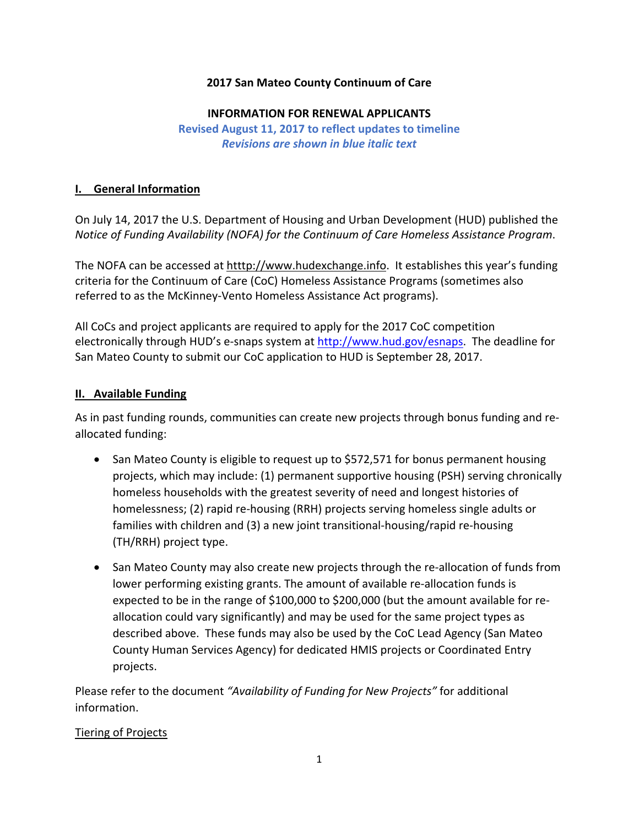## **2017 San Mateo County Continuum of Care**

#### **INFORMATION FOR RENEWAL APPLICANTS**

**Revised August 11, 2017 to reflect updates to timeline** *Revisions are shown in blue italic text*

### **I. General Information**

On July 14, 2017 the U.S. Department of Housing and Urban Development (HUD) published the *Notice of Funding Availability (NOFA) for the Continuum of Care Homeless Assistance Program*.

The NOFA can be accessed at htttp://www.hudexchange.info. It establishes this year's funding criteria for the Continuum of Care (CoC) Homeless Assistance Programs (sometimes also referred to as the McKinney‐Vento Homeless Assistance Act programs).

All CoCs and project applicants are required to apply for the 2017 CoC competition electronically through HUD's e-snaps system at http://www.hud.gov/esnaps. The deadline for San Mateo County to submit our CoC application to HUD is September 28, 2017.

#### **II. Available Funding**

As in past funding rounds, communities can create new projects through bonus funding and re‐ allocated funding:

- San Mateo County is eligible to request up to \$572,571 for bonus permanent housing projects, which may include: (1) permanent supportive housing (PSH) serving chronically homeless households with the greatest severity of need and longest histories of homelessness; (2) rapid re‐housing (RRH) projects serving homeless single adults or families with children and (3) a new joint transitional‐housing/rapid re‐housing (TH/RRH) project type.
- San Mateo County may also create new projects through the re-allocation of funds from lower performing existing grants. The amount of available re-allocation funds is expected to be in the range of \$100,000 to \$200,000 (but the amount available for re‐ allocation could vary significantly) and may be used for the same project types as described above. These funds may also be used by the CoC Lead Agency (San Mateo County Human Services Agency) for dedicated HMIS projects or Coordinated Entry projects.

Please refer to the document *"Availability of Funding for New Projects"* for additional information.

# Tiering of Projects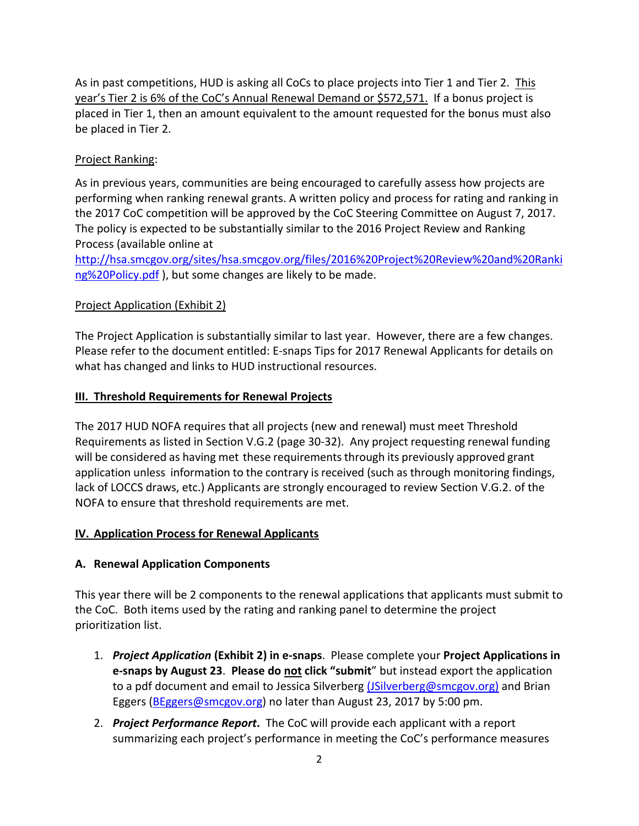As in past competitions, HUD is asking all CoCs to place projects into Tier 1 and Tier 2. This year's Tier 2 is 6% of the CoC's Annual Renewal Demand or \$572,571. If a bonus project is placed in Tier 1, then an amount equivalent to the amount requested for the bonus must also be placed in Tier 2.

## Project Ranking:

As in previous years, communities are being encouraged to carefully assess how projects are performing when ranking renewal grants. A written policy and process for rating and ranking in the 2017 CoC competition will be approved by the CoC Steering Committee on August 7, 2017. The policy is expected to be substantially similar to the 2016 Project Review and Ranking Process (available online at

http://hsa.smcgov.org/sites/hsa.smcgov.org/files/2016%20Project%20Review%20and%20Ranki ng%20Policy.pdf ), but some changes are likely to be made.

#### Project Application (Exhibit 2)

The Project Application is substantially similar to last year. However, there are a few changes. Please refer to the document entitled: E‐snaps Tips for 2017 Renewal Applicants for details on what has changed and links to HUD instructional resources.

#### **III. Threshold Requirements for Renewal Projects**

The 2017 HUD NOFA requires that all projects (new and renewal) must meet Threshold Requirements as listed in Section V.G.2 (page 30‐32). Any project requesting renewal funding will be considered as having met these requirements through its previously approved grant application unless information to the contrary is received (such as through monitoring findings, lack of LOCCS draws, etc.) Applicants are strongly encouraged to review Section V.G.2. of the NOFA to ensure that threshold requirements are met.

#### **IV. Application Process for Renewal Applicants**

#### **A. Renewal Application Components**

This year there will be 2 components to the renewal applications that applicants must submit to the CoC. Both items used by the rating and ranking panel to determine the project prioritization list.

- 1. *Project Application* **(Exhibit 2) in e‐snaps**. Please complete your **Project Applications in e‐snaps by August 23**. **Please do not click "submit**" but instead export the application to a pdf document and email to Jessica Silverberg (JSilverberg@smcgov.org) and Brian Eggers (BEggers@smcgov.org) no later than August 23, 2017 by 5:00 pm.
- 2. *Project Performance Report***.** The CoC will provide each applicant with a report summarizing each project's performance in meeting the CoC's performance measures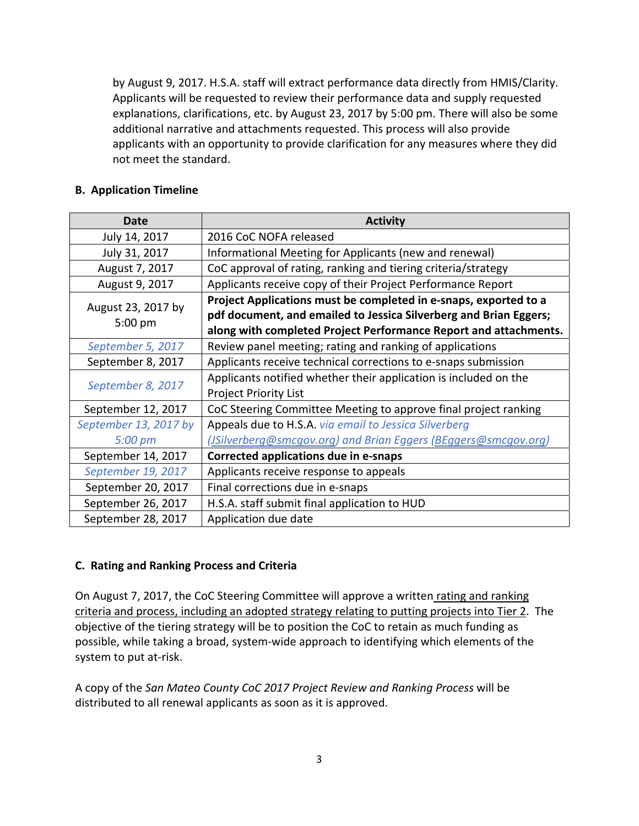by August 9, 2017. H.S.A. staff will extract performance data directly from HMIS/Clarity. Applicants will be requested to review their performance data and supply requested explanations, clarifications, etc. by August 23, 2017 by 5:00 pm. There will also be some additional narrative and attachments requested. This process will also provide applicants with an opportunity to provide clarification for any measures where they did not meet the standard.

## **B. Application Timeline**

| Date                            | <b>Activity</b>                                                         |
|---------------------------------|-------------------------------------------------------------------------|
| July 14, 2017                   | 2016 CoC NOFA released                                                  |
| July 31, 2017                   | Informational Meeting for Applicants (new and renewal)                  |
| August 7, 2017                  | CoC approval of rating, ranking and tiering criteria/strategy           |
| August 9, 2017                  | Applicants receive copy of their Project Performance Report             |
| August 23, 2017 by<br>$5:00$ pm | Project Applications must be completed in e-snaps, exported to a        |
|                                 | pdf document, and emailed to Jessica Silverberg and Brian Eggers;       |
|                                 | along with completed Project Performance Report and attachments.        |
| September 5, 2017               | Review panel meeting; rating and ranking of applications                |
| September 8, 2017               | Applicants receive technical corrections to e-snaps submission          |
| September 8, 2017               | Applicants notified whether their application is included on the        |
|                                 | <b>Project Priority List</b>                                            |
| September 12, 2017              | CoC Steering Committee Meeting to approve final project ranking         |
| September 13, 2017 by           | Appeals due to H.S.A. via email to Jessica Silverberg                   |
| 5:00 pm                         | ( <i>JSilverberg@smcgov.org</i> ) and Brian Eggers (BEggers@smcgov.org) |
| September 14, 2017              | Corrected applications due in e-snaps                                   |
| September 19, 2017              | Applicants receive response to appeals                                  |
| September 20, 2017              | Final corrections due in e-snaps                                        |
| September 26, 2017              | H.S.A. staff submit final application to HUD                            |
| September 28, 2017              | Application due date                                                    |

#### **C. Rating and Ranking Process and Criteria**

On August 7, 2017, the CoC Steering Committee will approve a written rating and ranking criteria and process, including an adopted strategy relating to putting projects into Tier 2. The objective of the tiering strategy will be to position the CoC to retain as much funding as possible, while taking a broad, system‐wide approach to identifying which elements of the system to put at-risk.

A copy of the *San Mateo County CoC 2017 Project Review and Ranking Process* will be distributed to all renewal applicants as soon as it is approved.